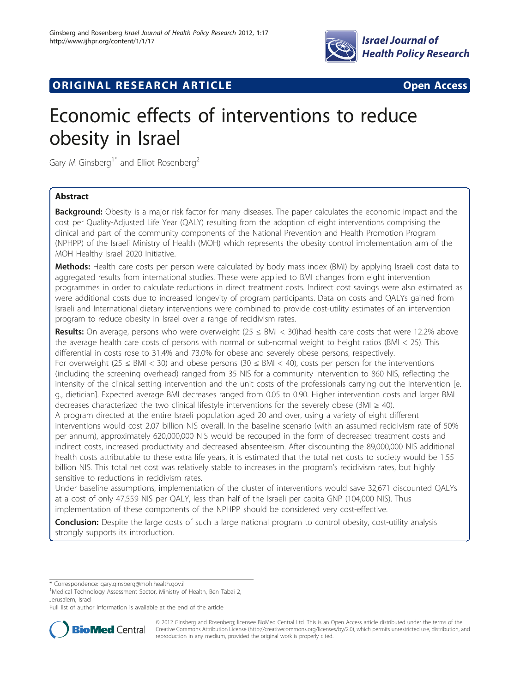

# **ORIGINAL RESEARCH ARTICLE CONSUMING ACCESS**

# Economic effects of interventions to reduce obesity in Israel

Gary M Ginsberg<sup>1\*</sup> and Elliot Rosenberg<sup>2</sup>

# Abstract

**Background:** Obesity is a major risk factor for many diseases. The paper calculates the economic impact and the cost per Quality-Adjusted Life Year (QALY) resulting from the adoption of eight interventions comprising the clinical and part of the community components of the National Prevention and Health Promotion Program (NPHPP) of the Israeli Ministry of Health (MOH) which represents the obesity control implementation arm of the MOH Healthy Israel 2020 Initiative.

Methods: Health care costs per person were calculated by body mass index (BMI) by applying Israeli cost data to aggregated results from international studies. These were applied to BMI changes from eight intervention programmes in order to calculate reductions in direct treatment costs. Indirect cost savings were also estimated as were additional costs due to increased longevity of program participants. Data on costs and QALYs gained from Israeli and International dietary interventions were combined to provide cost-utility estimates of an intervention program to reduce obesity in Israel over a range of recidivism rates.

**Results:** On average, persons who were overweight ( $25 \le BMI < 30$ ) had health care costs that were 12.2% above the average health care costs of persons with normal or sub-normal weight to height ratios (BMI < 25). This differential in costs rose to 31.4% and 73.0% for obese and severely obese persons, respectively.

For overweight (25  $\leq$  BMI  $<$  30) and obese persons (30  $\leq$  BMI  $<$  40), costs per person for the interventions (including the screening overhead) ranged from 35 NIS for a community intervention to 860 NIS, reflecting the intensity of the clinical setting intervention and the unit costs of the professionals carrying out the intervention [e. g., dietician]. Expected average BMI decreases ranged from 0.05 to 0.90. Higher intervention costs and larger BMI decreases characterized the two clinical lifestyle interventions for the severely obese (BMI ≥ 40).

A program directed at the entire Israeli population aged 20 and over, using a variety of eight different interventions would cost 2.07 billion NIS overall. In the baseline scenario (with an assumed recidivism rate of 50% per annum), approximately 620,000,000 NIS would be recouped in the form of decreased treatment costs and indirect costs, increased productivity and decreased absenteeism. After discounting the 89,000,000 NIS additional health costs attributable to these extra life years, it is estimated that the total net costs to society would be 1.55 billion NIS. This total net cost was relatively stable to increases in the program's recidivism rates, but highly sensitive to reductions in recidivism rates.

Under baseline assumptions, implementation of the cluster of interventions would save 32,671 discounted QALYs at a cost of only 47,559 NIS per QALY, less than half of the Israeli per capita GNP (104,000 NIS). Thus implementation of these components of the NPHPP should be considered very cost-effective.

**Conclusion:** Despite the large costs of such a large national program to control obesity, cost-utility analysis strongly supports its introduction.

\* Correspondence: [gary.ginsberg@moh.health.gov.il](mailto:gary.ginsberg@moh.health.gov.il)

Full list of author information is available at the end of the article



© 2012 Ginsberg and Rosenberg; licensee BioMed Central Ltd. This is an Open Access article distributed under the terms of the Bio Med Central Creative Commons Attribution License (<http://creativecommons.org/licenses/by/2.0>), which permits unrestricted use, distribution, and reproduction in any medium, provided the original work is properly cited.

<sup>&</sup>lt;sup>1</sup>Medical Technology Assessment Sector, Ministry of Health, Ben Tabai 2, Jerusalem, Israel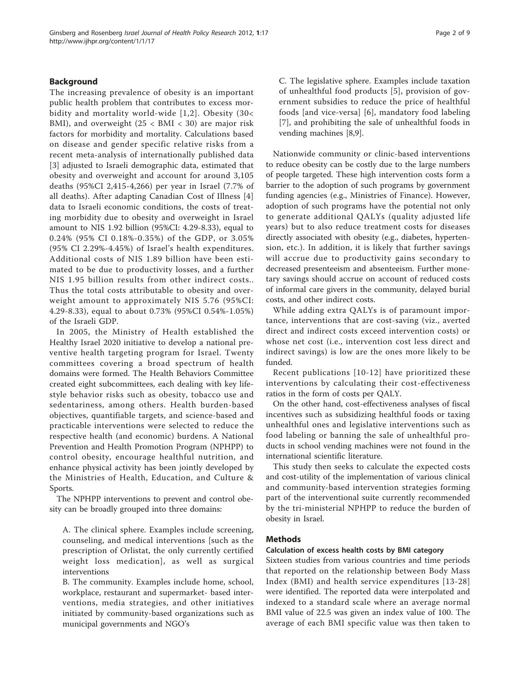# Background

The increasing prevalence of obesity is an important public health problem that contributes to excess morbidity and mortality world-wide [\[1,2\]](#page-7-0). Obesity (30< BMI), and overweight (25 < BMI < 30) are major risk factors for morbidity and mortality. Calculations based on disease and gender specific relative risks from a recent meta-analysis of internationally published data [[3\]](#page-7-0) adjusted to Israeli demographic data, estimated that obesity and overweight and account for around 3,105 deaths (95%CI 2,415-4,266) per year in Israel (7.7% of all deaths). After adapting Canadian Cost of Illness [\[4](#page-7-0)] data to Israeli economic conditions, the costs of treating morbidity due to obesity and overweight in Israel amount to NIS 1.92 billion (95%CI: 4.29-8.33), equal to 0.24% (95% CI 0.18%-0.35%) of the GDP, or 3.05% (95% CI 2.29%-4.45%) of Israel's health expenditures. Additional costs of NIS 1.89 billion have been estimated to be due to productivity losses, and a further NIS 1.95 billion results from other indirect costs.. Thus the total costs attributable to obesity and overweight amount to approximately NIS 5.76 (95%CI: 4.29-8.33), equal to about 0.73% (95%CI 0.54%-1.05%) of the Israeli GDP.

In 2005, the Ministry of Health established the Healthy Israel 2020 initiative to develop a national preventive health targeting program for Israel. Twenty committees covering a broad spectrum of health domains were formed. The Health Behaviors Committee created eight subcommittees, each dealing with key lifestyle behavior risks such as obesity, tobacco use and sedentariness, among others. Health burden-based objectives, quantifiable targets, and science-based and practicable interventions were selected to reduce the respective health (and economic) burdens. A National Prevention and Health Promotion Program (NPHPP) to control obesity, encourage healthful nutrition, and enhance physical activity has been jointly developed by the Ministries of Health, Education, and Culture & Sports.

The NPHPP interventions to prevent and control obesity can be broadly grouped into three domains:

A. The clinical sphere. Examples include screening, counseling, and medical interventions [such as the prescription of Orlistat, the only currently certified weight loss medication], as well as surgical interventions

B. The community. Examples include home, school, workplace, restaurant and supermarket- based interventions, media strategies, and other initiatives initiated by community-based organizations such as municipal governments and NGO's

C. The legislative sphere. Examples include taxation of unhealthful food products [[5\]](#page-7-0), provision of government subsidies to reduce the price of healthful foods [and vice-versa] [\[6](#page-7-0)], mandatory food labeling [[7\]](#page-7-0), and prohibiting the sale of unhealthful foods in vending machines [[8](#page-7-0),[9](#page-7-0)].

Nationwide community or clinic-based interventions to reduce obesity can be costly due to the large numbers of people targeted. These high intervention costs form a barrier to the adoption of such programs by government funding agencies (e.g., Ministries of Finance). However, adoption of such programs have the potential not only to generate additional QALYs (quality adjusted life years) but to also reduce treatment costs for diseases directly associated with obesity (e.g., diabetes, hypertension, etc.). In addition, it is likely that further savings will accrue due to productivity gains secondary to decreased presenteeism and absenteeism. Further monetary savings should accrue on account of reduced costs of informal care givers in the community, delayed burial costs, and other indirect costs.

While adding extra QALYs is of paramount importance, interventions that are cost-saving (viz., averted direct and indirect costs exceed intervention costs) or whose net cost (i.e., intervention cost less direct and indirect savings) is low are the ones more likely to be funded.

Recent publications [[10](#page-7-0)-[12\]](#page-7-0) have prioritized these interventions by calculating their cost-effectiveness ratios in the form of costs per QALY.

On the other hand, cost-effectiveness analyses of fiscal incentives such as subsidizing healthful foods or taxing unhealthful ones and legislative interventions such as food labeling or banning the sale of unhealthful products in school vending machines were not found in the international scientific literature.

This study then seeks to calculate the expected costs and cost-utility of the implementation of various clinical and community-based intervention strategies forming part of the interventional suite currently recommended by the tri-ministerial NPHPP to reduce the burden of obesity in Israel.

# Methods

### Calculation of excess health costs by BMI category

Sixteen studies from various countries and time periods that reported on the relationship between Body Mass Index (BMI) and health service expenditures [[13-](#page-7-0)[28](#page-8-0)] were identified. The reported data were interpolated and indexed to a standard scale where an average normal BMI value of 22.5 was given an index value of 100. The average of each BMI specific value was then taken to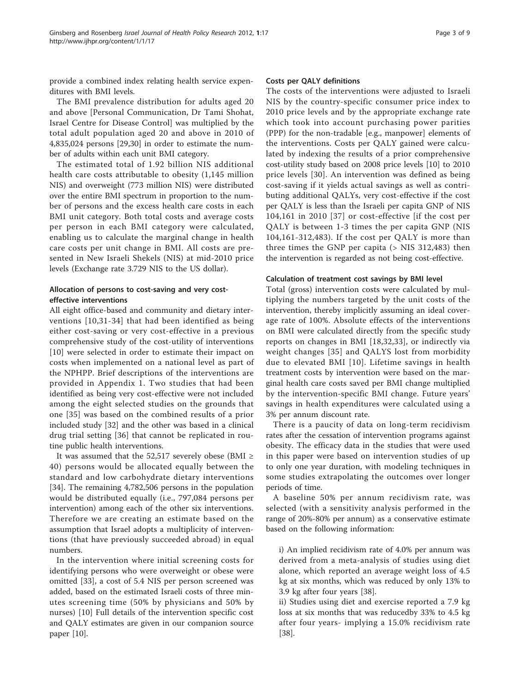The BMI prevalence distribution for adults aged 20 and above [Personal Communication, Dr Tami Shohat, Israel Centre for Disease Control] was multiplied by the total adult population aged 20 and above in 2010 of 4,835,024 persons [\[29,30\]](#page-8-0) in order to estimate the number of adults within each unit BMI category.

The estimated total of 1.92 billion NIS additional health care costs attributable to obesity (1,145 million NIS) and overweight (773 million NIS) were distributed over the entire BMI spectrum in proportion to the number of persons and the excess health care costs in each BMI unit category. Both total costs and average costs per person in each BMI category were calculated, enabling us to calculate the marginal change in health care costs per unit change in BMI. All costs are presented in New Israeli Shekels (NIS) at mid-2010 price levels (Exchange rate 3.729 NIS to the US dollar).

# Allocation of persons to cost-saving and very costeffective interventions

All eight office-based and community and dietary interventions [[10](#page-7-0)[,31-34](#page-8-0)] that had been identified as being either cost-saving or very cost-effective in a previous comprehensive study of the cost-utility of interventions [[10](#page-7-0)] were selected in order to estimate their impact on costs when implemented on a national level as part of the NPHPP. Brief descriptions of the interventions are provided in Appendix 1. Two studies that had been identified as being very cost-effective were not included among the eight selected studies on the grounds that one [[35](#page-8-0)] was based on the combined results of a prior included study [\[32\]](#page-8-0) and the other was based in a clinical drug trial setting [[36\]](#page-8-0) that cannot be replicated in routine public health interventions.

It was assumed that the 52,517 severely obese (BMI  $\ge$ 40) persons would be allocated equally between the standard and low carbohydrate dietary interventions [[34\]](#page-8-0). The remaining 4,782,506 persons in the population would be distributed equally (i.e., 797,084 persons per intervention) among each of the other six interventions. Therefore we are creating an estimate based on the assumption that Israel adopts a multiplicity of interventions (that have previously succeeded abroad) in equal numbers.

In the intervention where initial screening costs for identifying persons who were overweight or obese were omitted [\[33](#page-8-0)], a cost of 5.4 NIS per person screened was added, based on the estimated Israeli costs of three minutes screening time (50% by physicians and 50% by nurses) [\[10](#page-7-0)] Full details of the intervention specific cost and QALY estimates are given in our companion source paper [[10\]](#page-7-0).

# Costs per QALY definitions

The costs of the interventions were adjusted to Israeli NIS by the country-specific consumer price index to 2010 price levels and by the appropriate exchange rate which took into account purchasing power parities (PPP) for the non-tradable [e.g., manpower] elements of the interventions. Costs per QALY gained were calculated by indexing the results of a prior comprehensive cost-utility study based on 2008 price levels [\[10](#page-7-0)] to 2010 price levels [\[30](#page-8-0)]. An intervention was defined as being cost-saving if it yields actual savings as well as contributing additional QALYs, very cost-effective if the cost per QALY is less than the Israeli per capita GNP of NIS 104,161 in 2010 [[37](#page-8-0)] or cost-effective [if the cost per QALY is between 1-3 times the per capita GNP (NIS 104,161-312,483). If the cost per QALY is more than three times the GNP per capita (> NIS 312,483) then the intervention is regarded as not being cost-effective.

# Calculation of treatment cost savings by BMI level

Total (gross) intervention costs were calculated by multiplying the numbers targeted by the unit costs of the intervention, thereby implicitly assuming an ideal coverage rate of 100%. Absolute effects of the interventions on BMI were calculated directly from the specific study reports on changes in BMI [[18,](#page-7-0)[32](#page-8-0),[33\]](#page-8-0), or indirectly via weight changes [[35](#page-8-0)] and QALYS lost from morbidity due to elevated BMI [[10\]](#page-7-0). Lifetime savings in health treatment costs by intervention were based on the marginal health care costs saved per BMI change multiplied by the intervention-specific BMI change. Future years' savings in health expenditures were calculated using a 3% per annum discount rate.

There is a paucity of data on long-term recidivism rates after the cessation of intervention programs against obesity. The efficacy data in the studies that were used in this paper were based on intervention studies of up to only one year duration, with modeling techniques in some studies extrapolating the outcomes over longer periods of time.

A baseline 50% per annum recidivism rate, was selected (with a sensitivity analysis performed in the range of 20%-80% per annum) as a conservative estimate based on the following information:

i) An implied recidivism rate of 4.0% per annum was derived from a meta-analysis of studies using diet alone, which reported an average weight loss of 4.5 kg at six months, which was reduced by only 13% to 3.9 kg after four years [\[38](#page-8-0)].

ii) Studies using diet and exercise reported a 7.9 kg loss at six months that was reducedby 33% to 4.5 kg after four years- implying a 15.0% recidivism rate [[38\]](#page-8-0).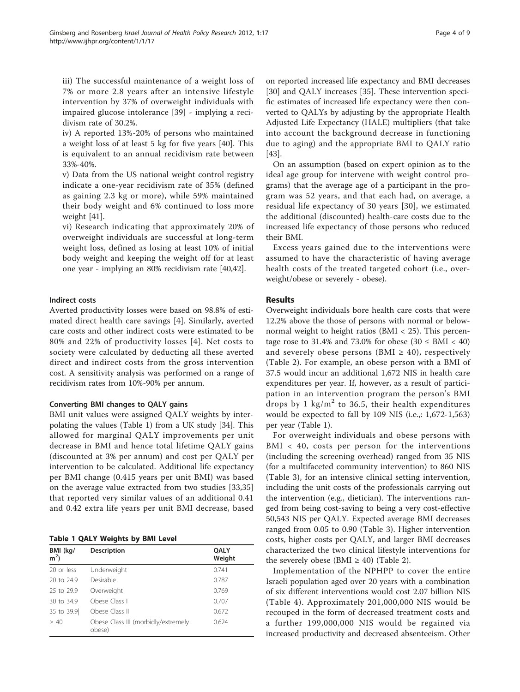iii) The successful maintenance of a weight loss of 7% or more 2.8 years after an intensive lifestyle intervention by 37% of overweight individuals with impaired glucose intolerance [[39\]](#page-8-0) - implying a recidivism rate of 30.2%.

iv) A reported 13%-20% of persons who maintained a weight loss of at least 5 kg for five years [[40\]](#page-8-0). This is equivalent to an annual recidivism rate between 33%-40%.

v) Data from the US national weight control registry indicate a one-year recidivism rate of 35% (defined as gaining 2.3 kg or more), while 59% maintained their body weight and 6% continued to loss more weight [[41\]](#page-8-0).

vi) Research indicating that approximately 20% of overweight individuals are successful at long-term weight loss, defined as losing at least 10% of initial body weight and keeping the weight off for at least one year - implying an 80% recidivism rate [[40,42\]](#page-8-0).

# Indirect costs

Averted productivity losses were based on 98.8% of estimated direct health care savings [[4](#page-7-0)]. Similarly, averted care costs and other indirect costs were estimated to be 80% and 22% of productivity losses [\[4\]](#page-7-0). Net costs to society were calculated by deducting all these averted direct and indirect costs from the gross intervention cost. A sensitivity analysis was performed on a range of recidivism rates from 10%-90% per annum.

### Converting BMI changes to QALY gains

BMI unit values were assigned QALY weights by interpolating the values (Table 1) from a UK study [\[34\]](#page-8-0). This allowed for marginal QALY improvements per unit decrease in BMI and hence total lifetime QALY gains (discounted at 3% per annum) and cost per QALY per intervention to be calculated. Additional life expectancy per BMI change (0.415 years per unit BMI) was based on the average value extracted from two studies [\[33,35](#page-8-0)] that reported very similar values of an additional 0.41 and 0.42 extra life years per unit BMI decrease, based

Table 1 QALY Weights by BMI Level

| BMI (kg/<br>m <sup>2</sup> | <b>Description</b>                            | <b>OALY</b><br>Weight |
|----------------------------|-----------------------------------------------|-----------------------|
| 20 or less                 | Underweight                                   | 0.741                 |
| 20 to 24.9                 | Desirable                                     | 0.787                 |
| 25 to 29.9                 | Overweight                                    | 0.769                 |
| 30 to 34.9                 | Obese Class I                                 | 0.707                 |
| 35 to 39.9                 | Obese Class II                                | 0.672                 |
| > 40                       | Obese Class III (morbidly/extremely<br>obese) | 0.624                 |

on reported increased life expectancy and BMI decreases [[30\]](#page-8-0) and QALY increases [\[35](#page-8-0)]. These intervention specific estimates of increased life expectancy were then converted to QALYs by adjusting by the appropriate Health Adjusted Life Expectancy (HALE) multipliers (that take into account the background decrease in functioning due to aging) and the appropriate BMI to QALY ratio [[43\]](#page-8-0).

On an assumption (based on expert opinion as to the ideal age group for intervene with weight control programs) that the average age of a participant in the program was 52 years, and that each had, on average, a residual life expectancy of 30 years [[30](#page-8-0)], we estimated the additional (discounted) health-care costs due to the increased life expectancy of those persons who reduced their BMI.

Excess years gained due to the interventions were assumed to have the characteristic of having average health costs of the treated targeted cohort (i.e., overweight/obese or severely - obese).

# Results

Overweight individuals bore health care costs that were 12.2% above the those of persons with normal or belownormal weight to height ratios (BMI < 25). This percentage rose to 31.4% and 73.0% for obese  $(30 \leq BMI < 40)$ and severely obese persons (BMI  $\geq$  40), respectively (Table [2](#page-4-0)). For example, an obese person with a BMI of 37.5 would incur an additional 1,672 NIS in health care expenditures per year. If, however, as a result of participation in an intervention program the person's BMI drops by 1 kg/m<sup>2</sup> to 36.5, their health expenditures would be expected to fall by 109 NIS (i.e.,: 1,672-1,563) per year (Table 1).

For overweight individuals and obese persons with BMI < 40, costs per person for the interventions (including the screening overhead) ranged from 35 NIS (for a multifaceted community intervention) to 860 NIS (Table [3](#page-5-0)), for an intensive clinical setting intervention, including the unit costs of the professionals carrying out the intervention (e.g., dietician). The interventions ranged from being cost-saving to being a very cost-effective 50,543 NIS per QALY. Expected average BMI decreases ranged from 0.05 to 0.90 (Table [3](#page-5-0)). Higher intervention costs, higher costs per QALY, and larger BMI decreases characterized the two clinical lifestyle interventions for the severely obese (BMI  $\geq$  40) (Table [2](#page-4-0)).

Implementation of the NPHPP to cover the entire Israeli population aged over 20 years with a combination of six different interventions would cost 2.07 billion NIS (Table [4](#page-5-0)). Approximately 201,000,000 NIS would be recouped in the form of decreased treatment costs and a further 199,000,000 NIS would be regained via increased productivity and decreased absenteeism. Other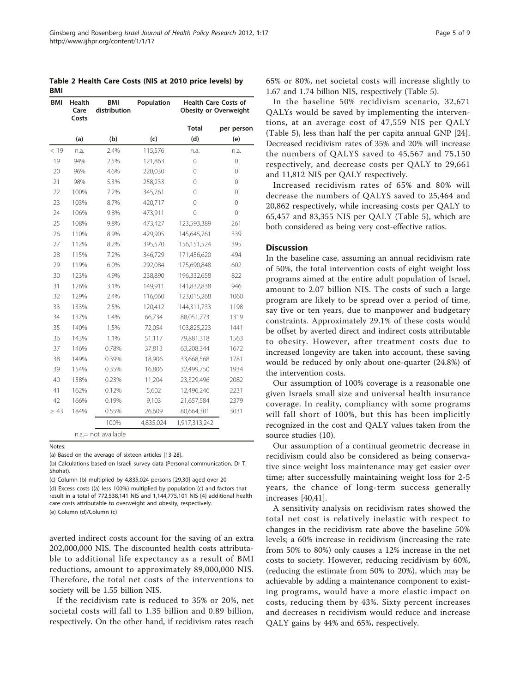<span id="page-4-0"></span>Table 2 Health Care Costs (NIS at 2010 price levels) by **BMI** 

| <b>BMI</b><br>Health<br>Care<br>Costs |      | <b>BMI</b><br>distribution | Population | <b>Health Care Costs of</b><br><b>Obesity or Overweight</b> |              |  |
|---------------------------------------|------|----------------------------|------------|-------------------------------------------------------------|--------------|--|
|                                       |      |                            |            | <b>Total</b>                                                | per person   |  |
|                                       | (a)  | (b)                        | (c)        | (d)                                                         | (e)          |  |
| < 19                                  | n.a. | 2.4%                       | 115,576    | n.a.                                                        | n.a.         |  |
| 19                                    | 94%  | 2.5%                       | 121,863    | 0                                                           | $\mathcal O$ |  |
| 20                                    | 96%  | 4.6%                       | 220,030    | 0                                                           | 0            |  |
| 21                                    | 98%  | 5.3%                       | 258,233    | 0                                                           | 0            |  |
| 22                                    | 100% | 7.2%                       | 345,761    | 0                                                           | 0            |  |
| 23                                    | 103% | 8.7%                       | 420,717    | 0                                                           | $\mathbf 0$  |  |
| 24                                    | 106% | 9.8%                       | 473,911    | 0                                                           | $\mathbf 0$  |  |
| 25                                    | 108% | 9.8%                       | 473,427    | 123,593,389                                                 | 261          |  |
| 26                                    | 110% | 8.9%                       | 429,905    | 145,645,761                                                 | 339          |  |
| 27                                    | 112% | 8.2%                       | 395,570    | 156,151,524                                                 | 395          |  |
| 28                                    | 115% | 7.2%                       | 346,729    | 171,456,620                                                 | 494          |  |
| 29                                    | 119% | 6.0%                       | 292,084    | 175,690,848                                                 | 602          |  |
| 30                                    | 123% | 4.9%                       | 238,890    | 196,332,658                                                 | 822          |  |
| 31                                    | 126% | 3.1%                       | 149,911    | 141,832,838                                                 | 946          |  |
| 32                                    | 129% | 2.4%                       | 116,060    | 123,015,268                                                 | 1060         |  |
| 33                                    | 133% | 2.5%                       | 120,412    | 144,311,733                                                 | 1198         |  |
| 34                                    | 137% | 1.4%                       | 66,734     | 88,051,773                                                  | 1319         |  |
| 35                                    | 140% | 1.5%                       | 72,054     | 103,825,223                                                 | 1441         |  |
| 36                                    | 143% | 1.1%                       | 51,117     | 79,881,318                                                  | 1563         |  |
| 37                                    | 146% | 0.78%                      | 37,813     | 63,208,344                                                  | 1672         |  |
| 38                                    | 149% | 0.39%                      | 18,906     | 33,668,568                                                  | 1781         |  |
| 39                                    | 154% | 0.35%                      | 16,806     | 32,499,750                                                  | 1934         |  |
| 40                                    | 158% | 0.23%                      | 11,204     | 23,329,496                                                  | 2082         |  |
| 41                                    | 162% | 0.12%                      | 5,602      | 12,496,246                                                  | 2231         |  |
| 42                                    | 166% | 0.19%                      | 9,103      | 21,657,584                                                  | 2379         |  |
| $\geq 43$                             | 184% | 0.55%                      | 26,609     | 80,664,301                                                  | 3031         |  |
|                                       |      | 100%                       | 4,835,024  | 1,917,313,242                                               |              |  |
|                                       |      | $n.a = not available$      |            |                                                             |              |  |

Notes:

(a) Based on the average of sixteen articles [\[13-](#page-7-0)[28\]](#page-8-0).

(b) Calculations based on Israeli survey data (Personal communication. Dr T. Shohat).

(c) Column (b) multiplied by 4,835,024 persons [\[29](#page-8-0),[30\]](#page-8-0) aged over 20

(d) Excess costs ((a) less 100%) multiplied by population (c) and factors that result in a total of 772,538,141 NIS and 1,144,775,101 NIS [\[4\]](#page-7-0) additional health care costs attributable to overweight and obesity, respectively.

(e) Column (d)/Column (c)

averted indirect costs account for the saving of an extra 202,000,000 NIS. The discounted health costs attributable to additional life expectancy as a result of BMI reductions, amount to approximately 89,000,000 NIS. Therefore, the total net costs of the interventions to society will be 1.55 billion NIS.

If the recidivism rate is reduced to 35% or 20%, net societal costs will fall to 1.35 billion and 0.89 billion, respectively. On the other hand, if recidivism rates reach 65% or 80%, net societal costs will increase slightly to 1.67 and 1.74 billion NIS, respectively (Table [5\)](#page-6-0).

In the baseline 50% recidivism scenario, 32,671 QALYs would be saved by implementing the interventions, at an average cost of 47,559 NIS per QALY (Table [5](#page-6-0)), less than half the per capita annual GNP [\[24](#page-8-0)]. Decreased recidivism rates of 35% and 20% will increase the numbers of QALYS saved to 45,567 and 75,150 respectively, and decrease costs per QALY to 29,661 and 11,812 NIS per QALY respectively.

Increased recidivism rates of 65% and 80% will decrease the numbers of QALYS saved to 25,464 and 20,862 respectively, while increasing costs per QALY to 65,457 and 83,355 NIS per QALY (Table [5](#page-6-0)), which are both considered as being very cost-effective ratios.

### **Discussion**

In the baseline case, assuming an annual recidivism rate of 50%, the total intervention costs of eight weight loss programs aimed at the entire adult population of Israel, amount to 2.07 billion NIS. The costs of such a large program are likely to be spread over a period of time, say five or ten years, due to manpower and budgetary constraints. Approximately 29.1% of these costs would be offset by averted direct and indirect costs attributable to obesity. However, after treatment costs due to increased longevity are taken into account, these saving would be reduced by only about one-quarter (24.8%) of the intervention costs.

Our assumption of 100% coverage is a reasonable one given Israels small size and universal health insurance coverage. In reality, compliancy with some programs will fall short of 100%, but this has been implicitly recognized in the cost and QALY values taken from the source studies (10).

Our assumption of a continual geometric decrease in recidivism could also be considered as being conservative since weight loss maintenance may get easier over time; after successfully maintaining weight loss for 2-5 years, the chance of long-term success generally increases [[40,41](#page-8-0)].

A sensitivity analysis on recidivism rates showed the total net cost is relatively inelastic with respect to changes in the recidivism rate above the baseline 50% levels; a 60% increase in recidivism (increasing the rate from 50% to 80%) only causes a 12% increase in the net costs to society. However, reducing recidivism by 60%, (reducing the estimate from 50% to 20%), which may be achievable by adding a maintenance component to existing programs, would have a more elastic impact on costs, reducing them by 43%. Sixty percent increases and decreases n recidivism would reduce and increase QALY gains by 44% and 65%, respectively.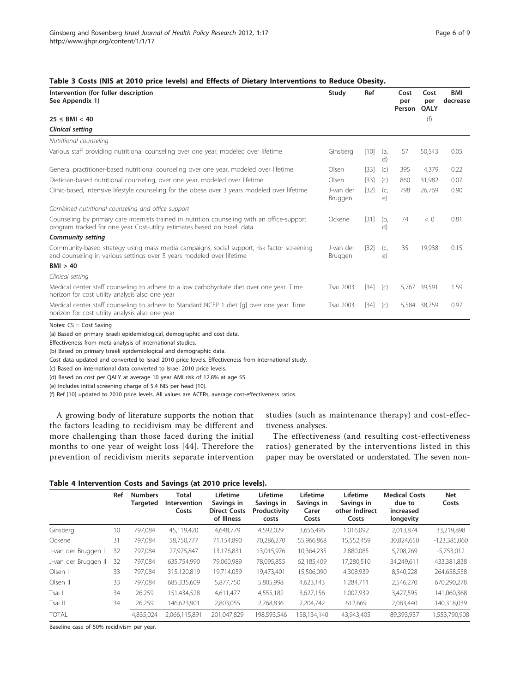| Intervention (for fuller description<br>See Appendix 1)                                                                                                                   | Study                | Ref    |                   | Cost<br>per<br>Person | Cost<br>per<br>QALY | BMI<br>decrease |
|---------------------------------------------------------------------------------------------------------------------------------------------------------------------------|----------------------|--------|-------------------|-----------------------|---------------------|-----------------|
| $25 \leq BMI < 40$                                                                                                                                                        |                      |        |                   |                       | (f)                 |                 |
| <b>Clinical setting</b>                                                                                                                                                   |                      |        |                   |                       |                     |                 |
| Nutritional counseling                                                                                                                                                    |                      |        |                   |                       |                     |                 |
| Various staff providing nutritional counseling over one year, modeled over lifetime                                                                                       | Ginsberg             | $[10]$ | (a,<br>d)         | 57                    | 50,543              | 0.05            |
| General practitioner-based nutritional counseling over one year, modeled over lifetime                                                                                    | Olsen                | $[33]$ | (C)               | 395                   | 4,379               | 0.22            |
| Dietician-based nutritional counseling, over one year, modeled over lifetime                                                                                              | Olsen                | $[33]$ | (c)               | 860                   | 31,982              | 0.07            |
| Clinic-based, intensive lifestyle counseling for the obese over 3 years modeled over lifetime                                                                             | J-van der<br>Bruggen | $[32]$ | (c,<br>$\epsilon$ | 798                   | 26,769              | 0.90            |
| Combined nutritional counseling and office support                                                                                                                        |                      |        |                   |                       |                     |                 |
| Counseling by primary care internists trained in nutrition counseling with an office-support<br>program tracked for one year Cost-utility estimates based on Israeli data | Ockene               | $[31]$ | (b,<br>d)         | 74                    | < 0                 | 0.81            |
| <b>Community setting</b>                                                                                                                                                  |                      |        |                   |                       |                     |                 |
| Community-based strategy using mass media campaigns, social support, risk factor screening<br>and counseling in various settings over 5 years modeled over lifetime       | J-van der<br>Bruggen | [32]   | (c,<br>$\epsilon$ | 35                    | 19,938              | 0.15            |
| BMI > 40                                                                                                                                                                  |                      |        |                   |                       |                     |                 |
| Clinical setting                                                                                                                                                          |                      |        |                   |                       |                     |                 |
| Medical center staff counseling to adhere to a low carbohydrate diet over one year. Time<br>horizon for cost utility analysis also one year                               | Tsai 2003            | $[34]$ | (c)               |                       | 5,767 39,591        | 1.59            |
| Medical center staff counseling to adhere to Standard NCEP 1 diet [q] over one year. Time<br>horizon for cost utility analysis also one year                              | Tsai 2003            | $[34]$ | (C)               |                       | 5,584 38,759        | 0.97            |

<span id="page-5-0"></span>

| Table 3 Costs (NIS at 2010 price levels) and Effects of Dietary Interventions to Reduce Obesity. |  |
|--------------------------------------------------------------------------------------------------|--|
|--------------------------------------------------------------------------------------------------|--|

Notes: CS = Cost Saving

(a) Based on primary Israeli epidemiological, demographic and cost data.

Effectiveness from meta-analysis of international studies.

(b) Based on primary Israeli epidemiological and demographic data.

Cost data updated and converted to Israel 2010 price levels. Effectiveness from international study.

(c) Based on international data converted to Israel 2010 price levels.

(d) Based on cost per QALY at average 10 year AMI risk of 12.8% at age 55.

(e) Includes initial screening charge of 5.4 NIS per head [\[10](#page-7-0)].

(f) Ref [[10\]](#page-7-0) updated to 2010 price levels. All values are ACERs, average cost-effectiveness ratios.

A growing body of literature supports the notion that the factors leading to recidivism may be different and more challenging than those faced during the initial months to one year of weight loss [[44](#page-8-0)]. Therefore the prevention of recidivism merits separate intervention studies (such as maintenance therapy) and cost-effectiveness analyses.

The effectiveness (and resulting cost-effectiveness ratios) generated by the interventions listed in this paper may be overstated or understated. The seven non-

### Table 4 Intervention Costs and Savings (at 2010 price levels).

|                      | Ref | <b>Numbers</b><br><b>Targeted</b> | Total<br>Intervention<br>Costs | Lifetime<br>Savings in<br><b>Direct Costs</b><br>of Illness | Lifetime<br>Savings in<br>Productivity<br>costs | Lifetime<br>Savings in<br>Carer<br>Costs | Lifetime<br>Savings in<br>other Indirect<br>Costs | <b>Medical Costs</b><br>due to<br>increased<br>longevity | <b>Net</b><br>Costs |
|----------------------|-----|-----------------------------------|--------------------------------|-------------------------------------------------------------|-------------------------------------------------|------------------------------------------|---------------------------------------------------|----------------------------------------------------------|---------------------|
| Ginsberg             | 10  | 797,084                           | 45,119,420                     | 4,648,779                                                   | 4,592,029                                       | 3,656,496                                | 1,016,092                                         | 2,013,874                                                | 33,219,898          |
| Ockene               | 31  | 797.084                           | 58,750,777                     | 71,154,890                                                  | 70,286,270                                      | 55,966,868                               | 15,552,459                                        | 30,824,650                                               | $-123,385,060$      |
| J-van der Bruggen I  | 32  | 797.084                           | 27,975,847                     | 13,176,831                                                  | 13,015,976                                      | 10,364,235                               | 2,880,085                                         | 5,708,269                                                | $-5,753,012$        |
| J-van der Bruggen II | 32  | 797.084                           | 635.754.990                    | 79,060,989                                                  | 78,095,855                                      | 62.185.409                               | 17.280.510                                        | 34,249,611                                               | 433,381,838         |
| Olsen I              | 33  | 797.084                           | 315.120.819                    | 19,714,059                                                  | 19,473,401                                      | 15.506.090                               | 4.308.939                                         | 8,540,228                                                | 264,658,558         |
| Olsen II             | 33  | 797.084                           | 685,335,609                    | 5,877,750                                                   | 5,805,998                                       | 4,623,143                                | 1.284.711                                         | 2,546,270                                                | 670,290,278         |
| Tsai I               | 34  | 26,259                            | 151,434,528                    | 4,611,477                                                   | 4,555,182                                       | 3,627,156                                | 1.007.939                                         | 3,427,595                                                | 141,060,368         |
| Tsai II              | 34  | 26,259                            | 146,623,901                    | 2,803,055                                                   | 2,768,836                                       | 2,204,742                                | 612,669                                           | 2,083,440                                                | 140,318,039         |
| <b>TOTAL</b>         |     | 4.835.024                         | 2.066.115.891                  | 201.047.829                                                 | 198.593.546                                     | 158.134.140                              | 43.943.405                                        | 89.393.937                                               | 1.553.790.908       |

Baseline case of 50% recidivism per year.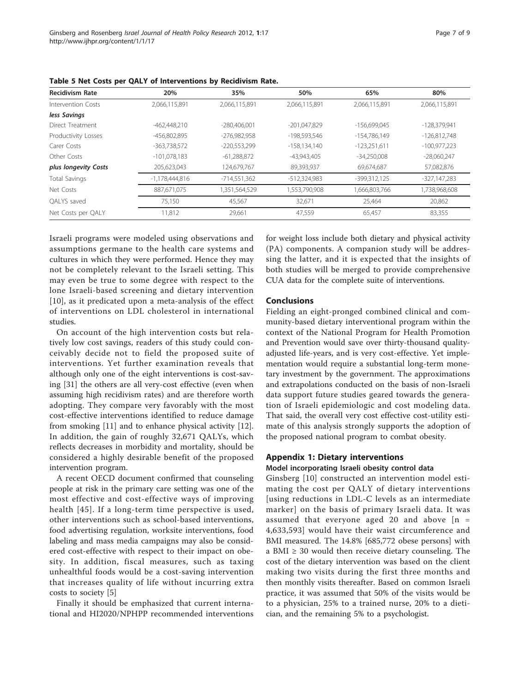| <b>Recidivism Rate</b> | 20%            | 35%            | 50%              | 65%            | 80%            |
|------------------------|----------------|----------------|------------------|----------------|----------------|
| Intervention Costs     | 2,066,115,891  | 2,066,115,891  | 2,066,115,891    | 2,066,115,891  | 2,066,115,891  |
| less Savings           |                |                |                  |                |                |
| Direct Treatment       | -462.448.210   | $-280,406,001$ | $-201.047.829$   | $-156.699.045$ | -128.379.941   |
| Productivity Losses    | -456,802,895   | -276,982,958   | -198,593,546     | -154.786.149   | $-126,812,748$ |
| Carer Costs            | -363,738,572   | $-220,553,299$ | $-158, 134, 140$ | $-123,251,611$ | $-100,977,223$ |
| Other Costs            | $-101.078.183$ | $-61,288,872$  | -43.943.405      | $-34,250,008$  | $-28,060,247$  |
| plus longevity Costs   | 205,623,043    | 124,679,767    | 89,393,937       | 69,674,687     | 57,082,876     |
| <b>Total Savings</b>   | -1,178,444,816 | $-714,551,362$ | $-512,324,983$   | -399,312,125   | -327,147,283   |
| Net Costs              | 887,671,075    | 351,564,529    | 1,553,790,908    | 666,803,766    | 1,738,968,608  |
| OALYS saved            | 75,150         | 45,567         | 32,671           | 25.464         | 20,862         |
| Net Costs per QALY     | 11,812         | 29,661         | 47,559           | 65,457         | 83,355         |

<span id="page-6-0"></span>Table 5 Net Costs per QALY of Interventions by Recidivism Rate.

Israeli programs were modeled using observations and assumptions germane to the health care systems and cultures in which they were performed. Hence they may not be completely relevant to the Israeli setting. This may even be true to some degree with respect to the lone Israeli-based screening and dietary intervention [[10](#page-7-0)], as it predicated upon a meta-analysis of the effect of interventions on LDL cholesterol in international studies.

On account of the high intervention costs but relatively low cost savings, readers of this study could conceivably decide not to field the proposed suite of interventions. Yet further examination reveals that although only one of the eight interventions is cost-saving [[31\]](#page-8-0) the others are all very-cost effective (even when assuming high recidivism rates) and are therefore worth adopting. They compare very favorably with the most cost-effective interventions identified to reduce damage from smoking [[11\]](#page-7-0) and to enhance physical activity [\[12](#page-7-0)]. In addition, the gain of roughly 32,671 QALYs, which reflects decreases in morbidity and mortality, should be considered a highly desirable benefit of the proposed intervention program.

A recent OECD document confirmed that counseling people at risk in the primary care setting was one of the most effective and cost-effective ways of improving health [[45](#page-8-0)]. If a long-term time perspective is used, other interventions such as school-based interventions, food advertising regulation, worksite interventions, food labeling and mass media campaigns may also be considered cost-effective with respect to their impact on obesity. In addition, fiscal measures, such as taxing unhealthful foods would be a cost-saving intervention that increases quality of life without incurring extra costs to society [[5\]](#page-7-0)

Finally it should be emphasized that current international and HI2020/NPHPP recommended interventions for weight loss include both dietary and physical activity (PA) components. A companion study will be addressing the latter, and it is expected that the insights of both studies will be merged to provide comprehensive CUA data for the complete suite of interventions.

# Conclusions

Fielding an eight-pronged combined clinical and community-based dietary interventional program within the context of the National Program for Health Promotion and Prevention would save over thirty-thousand qualityadjusted life-years, and is very cost-effective. Yet implementation would require a substantial long-term monetary investment by the government. The approximations and extrapolations conducted on the basis of non-Israeli data support future studies geared towards the generation of Israeli epidemiologic and cost modeling data. That said, the overall very cost effective cost-utility estimate of this analysis strongly supports the adoption of the proposed national program to combat obesity.

# Appendix 1: Dietary interventions

# Model incorporating Israeli obesity control data

Ginsberg [[10](#page-7-0)] constructed an intervention model estimating the cost per QALY of dietary interventions [using reductions in LDL-C levels as an intermediate marker] on the basis of primary Israeli data. It was assumed that everyone aged 20 and above  $[n =$ 4,633,593] would have their waist circumference and BMI measured. The 14.8% [685,772 obese persons] with a BMI  $\geq$  30 would then receive dietary counseling. The cost of the dietary intervention was based on the client making two visits during the first three months and then monthly visits thereafter. Based on common Israeli practice, it was assumed that 50% of the visits would be to a physician, 25% to a trained nurse, 20% to a dietician, and the remaining 5% to a psychologist.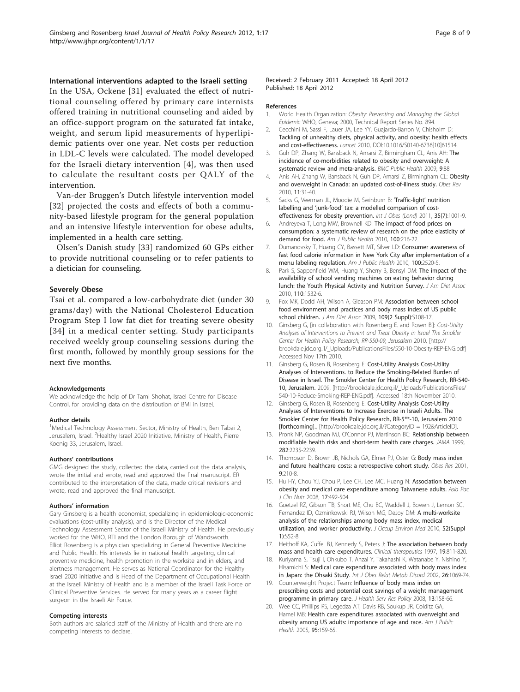### <span id="page-7-0"></span>International interventions adapted to the Israeli setting

In the USA, Ockene [\[31\]](#page-8-0) evaluated the effect of nutritional counseling offered by primary care internists offered training in nutritional counseling and aided by an office-support program on the saturated fat intake, weight, and serum lipid measurements of hyperlipidemic patients over one year. Net costs per reduction in LDL-C levels were calculated. The model developed for the Israeli dietary intervention [4], was then used to calculate the resultant costs per QALY of the intervention.

Van-der Bruggen's Dutch lifestyle intervention model [[32](#page-8-0)] projected the costs and effects of both a community-based lifestyle program for the general population and an intensive lifestyle intervention for obese adults, implemented in a health care setting.

Olsen's Danish study [[33\]](#page-8-0) randomized 60 GPs either to provide nutritional counseling or to refer patients to a dietician for counseling.

### Severely Obese

Tsai et al. compared a low-carbohydrate diet (under 30 grams/day) with the National Cholesterol Education Program Step I low fat diet for treating severe obesity [[34](#page-8-0)] in a medical center setting. Study participants received weekly group counseling sessions during the first month, followed by monthly group sessions for the next five months.

### Acknowledgements

We acknowledge the help of Dr Tami Shohat, Israel Centre for Disease Control, for providing data on the distribution of BMI in Israel.

### Author details

<sup>1</sup>Medical Technology Assessment Sector, Ministry of Health, Ben Tabai 2, Jerusalem, Israel. <sup>2</sup> Healthy Israel 2020 Initiative, Ministry of Health, Pierre Koenig 33, Jerusalem, Israel.

### Authors' contributions

GMG designed the study, collected the data, carried out the data analysis, wrote the initial and wrote, read and approved the final manuscript. ER contributed to the interpretation of the data, made critical revisions and wrote, read and approved the final manuscript.

#### Authors' information

Gary Ginsberg is a health economist, specializing in epidemiologic-economic evaluations (cost-utility analysis), and is the Director of the Medical Technology Assessment Sector of the Israeli Ministry of Health. He previously worked for the WHO, RTI and the London Borough of Wandsworth. Elliot Rosenberg is a physician specializing in General Preventive Medicine and Public Health. His interests lie in national health targeting, clinical preventive medicine, health promotion in the worksite and in elders, and alertness management. He serves as National Coordinator for the Healthy Israel 2020 initiative and is Head of the Department of Occupational Health at the Israeli Ministry of Health and is a member of the Israeli Task Force on Clinical Preventive Services. He served for many years as a career flight surgeon in the Israeli Air Force.

### Competing interests

Both authors are salaried staff of the Ministry of Health and there are no competing interests to declare.

### Received: 2 February 2011 Accepted: 18 April 2012 Published: 18 April 2012

### References

- 1. World Health Organization: Obesity: Preventing and Managing the Global Epidemic WHO, Geneva; 2000, Technical Report Series No. 894.
- 2. Cecchini M, Sassi F, Lauer JA, Lee YY, Guajardo-Barron V, Chisholm D: Tackling of unhealthy diets, physical activity, and obesity: health effects and cost-effectiveness. Lancet 2010, DOI:10.1016/S0140-6736[10]61514.
- 3. Guh DP, Zhang W, Bansback N, Amarsi Z, Birmingham CL, Anis AH: [The](http://www.ncbi.nlm.nih.gov/pubmed/19320986?dopt=Abstract) [incidence of co-morbidities related to obesity and overweight: A](http://www.ncbi.nlm.nih.gov/pubmed/19320986?dopt=Abstract) [systematic review and meta-analysis.](http://www.ncbi.nlm.nih.gov/pubmed/19320986?dopt=Abstract) BMC Public Health 2009, 9:88.
- 4. Anis AH, Zhang W, Bansback N, Guh DP, Amarsi Z, Birmingham CL: [Obesity](http://www.ncbi.nlm.nih.gov/pubmed/19413707?dopt=Abstract) [and overweight in Canada: an updated cost-of-illness study.](http://www.ncbi.nlm.nih.gov/pubmed/19413707?dopt=Abstract) Obes Rev 2010, 11:31-40.
- 5. Sacks G, Veerman JL, Moodie M, Swinburn B: 'Traffic-light' nutrition labelling and 'junk-food' tax: a modelled comparison of costeffectiveness for obesity prevention. Int J Obes (Lond) 2011, 35(7):1001-9.
- 6. Andreyeva T, Long MW, Brownell KD: [The impact of food prices on](http://www.ncbi.nlm.nih.gov/pubmed/20019319?dopt=Abstract) [consumption: a systematic review of research on the price elasticity of](http://www.ncbi.nlm.nih.gov/pubmed/20019319?dopt=Abstract) [demand for food.](http://www.ncbi.nlm.nih.gov/pubmed/20019319?dopt=Abstract) Am J Public Health 2010, 100:216-22.
- 7. Dumanovsky T, Huang CY, Bassett MT, Silver LD: [Consumer awareness of](http://www.ncbi.nlm.nih.gov/pubmed/20966367?dopt=Abstract) [fast food calorie information in New York City after implementation of a](http://www.ncbi.nlm.nih.gov/pubmed/20966367?dopt=Abstract) [menu labeling regulation.](http://www.ncbi.nlm.nih.gov/pubmed/20966367?dopt=Abstract) Am J Public Health 2010, 100:2520-5.
- 8. Park S, Sappenfield WM, Huang Y, Sherry B, Bensyl DM: [The impact of the](http://www.ncbi.nlm.nih.gov/pubmed/20869493?dopt=Abstract) [availability of school vending machines on eating behavior during](http://www.ncbi.nlm.nih.gov/pubmed/20869493?dopt=Abstract) [lunch: the Youth Physical Activity and Nutrition Survey.](http://www.ncbi.nlm.nih.gov/pubmed/20869493?dopt=Abstract) J Am Diet Assoc 2010, 110:1532-6.
- 9. Fox MK, Dodd AH, Wilson A, Gleason PM: [Association between school](http://www.ncbi.nlm.nih.gov/pubmed/19166665?dopt=Abstract) [food environment and practices and body mass index of US public](http://www.ncbi.nlm.nih.gov/pubmed/19166665?dopt=Abstract) [school children.](http://www.ncbi.nlm.nih.gov/pubmed/19166665?dopt=Abstract) J Am Diet Assoc 2009, 109(2 Suppl):S108-17.
- 10. Ginsberg G, [in collaboration with Rosenberg E. and Rosen B.]: Cost-Utility Analyses of Interventions to Prevent and Treat Obesity in Israel The Smokler Center for Health Policy Research, RR-550-09, Jerusalem 2010, [http:// brookdale.jdc.org.il/\_Uploads/PublicationsFiles/550-10-Obesity-REP-ENG.pdf] Accessed Nov 17th 2010.
- 11. Ginsberg G, Rosen B, Rosenberg E: Cost-Utility Analysis Cost-Utility Analyses of Interventions. to Reduce the Smoking-Related Burden of Disease in Israel. The Smokler Center for Health Policy Research, RR-540- 10, Jerusalem. 2009, [http://brookdale.jdc.org.il/\_Uploads/PublicationsFiles/ 540-10-Reduce-Smoking-REP-ENG.pdf]. Accessed 18th November 2010.
- 12. Ginsberg G, Rosen B, Rosenberg E: Cost-Utility Analysis Cost-Utility Analyses of Interventions to Increase Exercise in Israeli Adults. The Smokler Center for Health Policy Research, RR-5\*\*-10, Jerusalem 2010 [forthcoming]., [http://brookdale.jdc.org.il/?CategoryID = 192&ArticleID].
- 13. Pronk NP, Goodman MJ, O'Connor PJ, Martinson BC: [Relationship between](http://www.ncbi.nlm.nih.gov/pubmed/10605975?dopt=Abstract) [modifiable health risks and short-term health care charges.](http://www.ncbi.nlm.nih.gov/pubmed/10605975?dopt=Abstract) JAMA 1999, 282:2235-2239.
- 14. Thompson D, Brown JB, Nichols GA, Elmer PJ, Oster G: [Body mass index](http://www.ncbi.nlm.nih.gov/pubmed/11323447?dopt=Abstract) [and future healthcare costs: a retrospective cohort study.](http://www.ncbi.nlm.nih.gov/pubmed/11323447?dopt=Abstract) Obes Res 2001, 9:210-8.
- 15. Hu HY, Chou YJ, Chou P, Lee CH, Lee MC, Huang N: [Association between](http://www.ncbi.nlm.nih.gov/pubmed/18818171?dopt=Abstract) obesity [and medical care expenditure among Taiwanese adults.](http://www.ncbi.nlm.nih.gov/pubmed/18818171?dopt=Abstract) Asia Pac J Clin Nutr 2008, 17:492-504.
- 16. Goetzel RZ, Gibson TB, Short ME, Chu BC, Waddell J, Bowen J, Lemon SC, Fernandez ID, Ozminkowski RJ, Wilson MG, DeJoy DM: [A multi-worksite](http://www.ncbi.nlm.nih.gov/pubmed/20061888?dopt=Abstract) [analysis of the relationships among body mass index, medical](http://www.ncbi.nlm.nih.gov/pubmed/20061888?dopt=Abstract) [utilization, and worker productivity.](http://www.ncbi.nlm.nih.gov/pubmed/20061888?dopt=Abstract) J Occup Environ Med 2010, 52(Suppl 1):S52-8.
- 17. Heithoff KA, Cuffel BJ, Kennedy S, Peters J: [The association between body](http://www.ncbi.nlm.nih.gov/pubmed/9377623?dopt=Abstract) [mass and health care expenditures.](http://www.ncbi.nlm.nih.gov/pubmed/9377623?dopt=Abstract) Clinical therapeutics 1997, 19:811-820.
- 18. Kuriyama S, Tsuji I, Ohkubo T, Anzai Y, Takahashi K, Watanabe Y, Nishino Y, Hisamichi S: [Medical care expenditure associated with body mass index](http://www.ncbi.nlm.nih.gov/pubmed/12119572?dopt=Abstract) [in Japan: the Ohsaki Study.](http://www.ncbi.nlm.nih.gov/pubmed/12119572?dopt=Abstract) Int J Obes Relat Metab Disord 2002, 26:1069-74.
- 19. Counterweight Project Team: [Influence of body mass index on](http://www.ncbi.nlm.nih.gov/pubmed/18573765?dopt=Abstract) [prescribing costs and potential cost savings of a weight management](http://www.ncbi.nlm.nih.gov/pubmed/18573765?dopt=Abstract) [programme in primary care.](http://www.ncbi.nlm.nih.gov/pubmed/18573765?dopt=Abstract) J Health Serv Res Policy 2008, 13:158-66.
- 20. Wee CC, Phillips RS, Legedza AT, Davis RB, Soukup JR, Colditz GA, Hamel MB: [Health care expenditures associated with overweight and](http://www.ncbi.nlm.nih.gov/pubmed/15623877?dopt=Abstract) [obesity among US adults: importance of age and race.](http://www.ncbi.nlm.nih.gov/pubmed/15623877?dopt=Abstract) Am J Public Health 2005, 95:159-65.